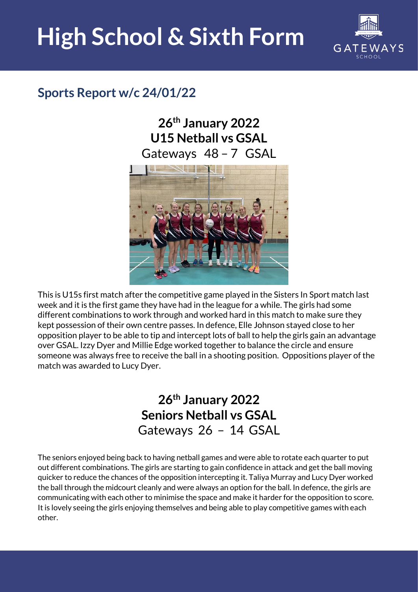## **High School & Sixth Form**



## **Sports Report w/c 24/01/22**

**26th January 2022 U15 Netball vs GSAL**  Gateways 48 – 7 GSAL



This is U15s first match after the competitive game played in the Sisters In Sport match last week and it is the first game they have had in the league for a while. The girls had some different combinations to work through and worked hard in this match to make sure they kept possession of their own centre passes. In defence, Elle Johnson stayed close to her opposition player to be able to tip and intercept lots of ball to help the girls gain an advantage over GSAL. Izzy Dyer and Millie Edge worked together to balance the circle and ensure someone was always free to receive the ball in a shooting position. Oppositions player of the match was awarded to Lucy Dyer.

## **26th January 2022 Seniors Netball vs GSAL**  Gateways 26 – 14 GSAL

The seniors enjoyed being back to having netball games and were able to rotate each quarter to put out different combinations. The girls are starting to gain confidence in attack and get the ball moving quicker to reduce the chances of the opposition intercepting it. Taliya Murray and Lucy Dyer worked the ball through the midcourt cleanly and were always an option for the ball. In defence, the girls are communicating with each other to minimise the space and make it harder for the opposition to score. It is lovely seeing the girls enjoying themselves and being able to play competitive games with each other.